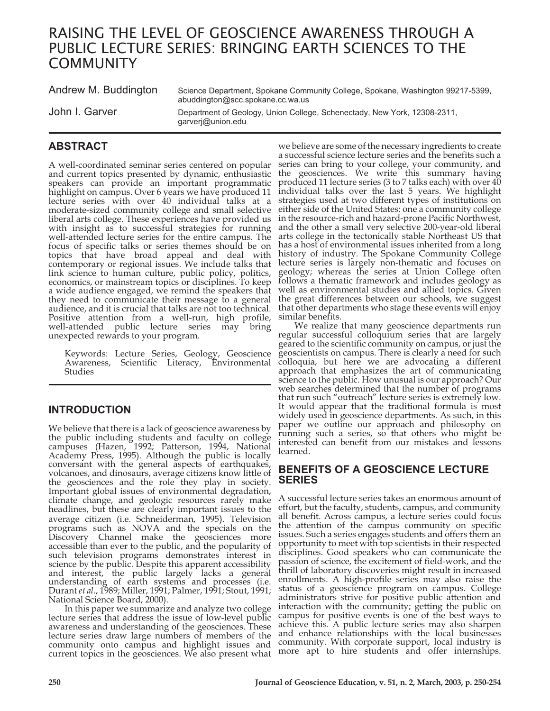# RAISING THE LEVEL OF GEOSCIENCE AWARENESS THROUGH A PUBLIC LECTURE SERIES: BRINGING EARTH SCIENCES TO THE **COMMUNITY**

Andrew M. Buddington Science Department, Spokane Community College, Spokane, Washington 99217-5399, abuddington@scc.spokane.cc.wa.us

John I. Garver **Department of Geology, Union College, Schenectady, New York, 12308-2311**, garverj@union.edu

## **ABSTRACT**

A well-coordinated seminar series centered on popular and current topics presented by dynamic, enthusiastic speakers can provide an important programmatic highlight on campus. Over 6 years we have produced 11 lecture series with over 40 individual talks at a moderate-sized community college and small selective liberal arts college. These experiences have provided us with insight as to successful strategies for running well-attended lecture series for the entire campus. The focus of specific talks or series themes should be on topics that have broad appeal and deal with contemporary or regional issues. We include talks that link science to human culture, public policy, politics, economics, or mainstream topics or disciplines. To keep a wide audience engaged, we remind the speakers that they need to communicate their message to a general the great differences between our schools, we suggest audience, and it is crucial that talks are not too technical. Positive attention from a well-run, high profile, similar benefits. well-attended public lecture series may bring unexpected rewards to your program.

Keywords: Lecture Series, Geology, Geoscience Awareness, Scientific Literacy, Environmental Studies

## **INTRODUCTION**

We believe that there is a lack of geoscience awareness by the public including students and faculty on college campuses (Hazen, 1992; Patterson, 1994, National Academy Press, 1995). Although the public is locally conversant with the general aspects of earthquakes, volcanoes, and dinosaurs, average citizens know little of the geosciences and the role they play in society. Important global issues of environmental degradation, climate change, and geologic resources rarely make headlines, but these are clearly important issues to the average citizen (i.e. Schneiderman, 1995). Television programs such as NOVA and the specials on the Discovery Channel make the geosciences more accessible than ever to the public, and the popularity of such television programs demonstrates interest in science by the public. Despite this apparent accessibility and interest, the public largely lacks a general understanding of earth systems and processes (i.e. Durant *et al*., 1989; Miller, 1991; Palmer, 1991; Stout, 1991; National Science Board, 2000).

In this paper we summarize and analyze two college lecture series that address the issue of low-level public awareness and understanding of the geosciences. These lecture series draw large numbers of members of the community onto campus and highlight issues and current topics in the geosciences. We also present what

we believe are some of the necessary ingredients to create a successful science lecture series and the benefits such a series can bring to your college, your community, and the geosciences. We write this summary having produced 11 lecture series (3 to 7 talks each) with over 40 individual talks over the last 5 years. We highlight strategies used at two different types of institutions on either side of the United States: one a community college in the resource-rich and hazard-prone Pacific Northwest, and the other a small very selective 200-year-old liberal arts college in the tectonically stable Northeast US that has a host of environmental issues inherited from a long history of industry. The Spokane Community College lecture series is largely non-thematic and focuses on geology; whereas the series at Union College often follows a thematic framework and includes geology as well as environmental studies and allied topics. Given that other departments who stage these events will enjoy

We realize that many geoscience departments run regular successful colloquium series that are largely geared to the scientific community on campus, or just the geoscientists on campus. There is clearly a need for such colloquia, but here we are advocating a different approach that emphasizes the art of communicating science to the public. How unusual is our approach? Our web searches determined that the number of programs that run such "outreach" lecture series is extremely low. It would appear that the traditional formula is most widely used in geoscience departments. As such, in this paper we outline our approach and philosophy on running such a series, so that others who might be interested can benefit from our mistakes and lessons learned.

## **BENEFITS OF A GEOSCIENCE LECTURE SERIES**

A successful lecture series takes an enormous amount of effort, but the faculty, students, campus, and community all benefit. Across campus, a lecture series could focus the attention of the campus community on specific issues. Such a series engages students and offers them an opportunity to meet with top scientists in their respected disciplines. Good speakers who can communicate the passion of science, the excitement of field-work, and the thrill of laboratory discoveries might result in increased enrollments. A high-profile series may also raise the status of a geoscience program on campus. College administrators strive for positive public attention and interaction with the community; getting the public on campus for positive events is one of the best ways to achieve this. A public lecture series may also sharpen and enhance relationships with the local businesses community. With corporate support, local industry is more apt to hire students and offer internships.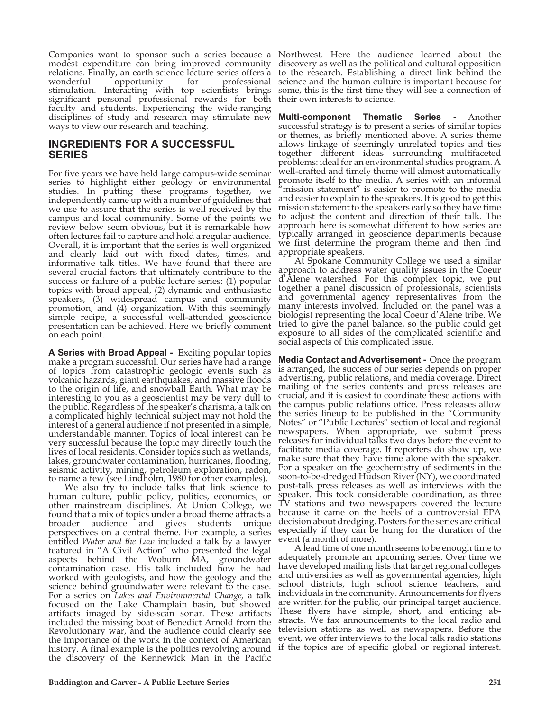Companies want to sponsor such a series because a Northwest. Here the audience learned about the modest expenditure can bring improved community discovery as well as the political and cultural opposition relations. Finally, an earth science lecture series offers a to the research. Establishing a direct link behind the wonderful opportunity for professional stimulation. Interacting with top scientists brings significant personal professional rewards for both faculty and students. Experiencing the wide-ranging disciplines of study and research may stimulate new ways to view our research and teaching.

### **INGREDIENTS FOR A SUCCESSFUL SERIES**

For five years we have held large campus-wide seminar series to highlight either geology or environmental studies. In putting these programs together, we independently came up with a number of guidelines that we use to assure that the series is well received by the campus and local community. Some of the points we review below seem obvious, but it is remarkable how often lectures fail to capture and hold a regular audience. Overall, it is important that the series is well organized and clearly laid out with fixed dates, times, and informative talk titles. We have found that there are several crucial factors that ultimately contribute to the success or failure of a public lecture series: (1) popular topics with broad appeal, (2) dynamic and enthusiastic speakers, (3) widespread campus and community promotion, and (4) organization. With this seemingly simple recipe, a successful well-attended geoscience presentation can be achieved. Here we briefly comment on each point.

**A Series with Broad Appeal -** Exciting popular topics make a program successful. Our series have had a range of topics from catastrophic geologic events such as volcanic hazards, giant earthquakes, and massive floods to the origin of life, and snowball Earth. What may be interesting to you as a geoscientist may be very dull to the public. Regardless of the speaker's charisma, a talk on a complicated highly technical subject may not hold the interest of a general audience if not presented in a simple, understandable manner. Topics of local interest can be very successful because the topic may directly touch the lives of local residents. Consider topics such as wetlands, lakes, groundwater contamination, hurricanes, flooding, seismic activity, mining, petroleum exploration, radon, to name a few (see Lindholm, 1980 for other examples).

We also try to include talks that link science to human culture, public policy, politics, economics, or other mainstream disciplines. At Union College, we found that a mix of topics under a broad theme attracts a broader audience and gives students unique perspectives on a central theme. For example, a series entitled *Water and the Law* included a talk by a lawyer featured in "A Civil Action" who presented the legal aspects behind the Woburn MA, groundwater contamination case. His talk included how he had worked with geologists, and how the geology and the science behind groundwater were relevant to the case. For a series on *Lakes and Environmental Change,* a talk focused on the Lake Champlain basin, but showed artifacts imaged by side-scan sonar. These artifacts included the missing boat of Benedict Arnold from the Revolutionary war, and the audience could clearly see the importance of the work in the context of American history. A final example is the politics revolving around the discovery of the Kennewick Man in the Pacific

science and the human culture is important because for some, this is the first time they will see a connection of their own interests to science.

**Multi-component Thematic Series -** Another successful strategy is to present a series of similar topics or themes, as briefly mentioned above. A series theme allows linkage of seemingly unrelated topics and ties together different ideas surrounding multifaceted problems: ideal for an environmental studies program. A well-crafted and timely theme will almost automatically promote itself to the media. A series with an informal "mission statement" is easier to promote to the media and easier to explain to the speakers. It is good to get this mission statement to the speakers early so they have time to adjust the content and direction of their talk. The approach here is somewhat different to how series are typically arranged in geoscience departments because we first determine the program theme and then find appropriate speakers.

At Spokane Community College we used a similar approach to address water quality issues in the Coeur d'Alene watershed. For this complex topic, we put together a panel discussion of professionals, scientists and governmental agency representatives from the many interests involved. Included on the panel was a biologist representing the local Coeur d'Alene tribe. We tried to give the panel balance, so the public could get exposure to all sides of the complicated scientific and social aspects of this complicated issue.

**Media Contact and Advertisement -** Once the program is arranged, the success of our series depends on proper advertising, public relations, and media coverage. Direct mailing of the series contents and press releases are crucial, and it is easiest to coordinate these actions with the campus public relations office. Press releases allow the series lineup to be published in the "Community Notes" or "Public Lectures" section of local and regional newspapers. When appropriate, we submit press releases for individual talks two days before the event to facilitate media coverage. If reporters do show up, we make sure that they have time alone with the speaker. For a speaker on the geochemistry of sediments in the soon-to-be-dredged Hudson River (NY), we coordinated post-talk press releases as well as interviews with the speaker. This took considerable coordination, as three TV stations and two newspapers covered the lecture because it came on the heels of a controversial EPA decision about dredging. Posters for the series are critical especially if they can be hung for the duration of the event (a month of more).

A lead time of one month seems to be enough time to adequately promote an upcoming series. Over time we have developed mailing lists that target regional colleges and universities as well as governmental agencies, high school districts, high school science teachers, and individuals in the community. Announcements for flyers are written for the public, our principal target audience. These flyers have simple, short, and enticing abstracts. We fax announcements to the local radio and television stations as well as newspapers. Before the event, we offer interviews to the local talk radio stations if the topics are of specific global or regional interest.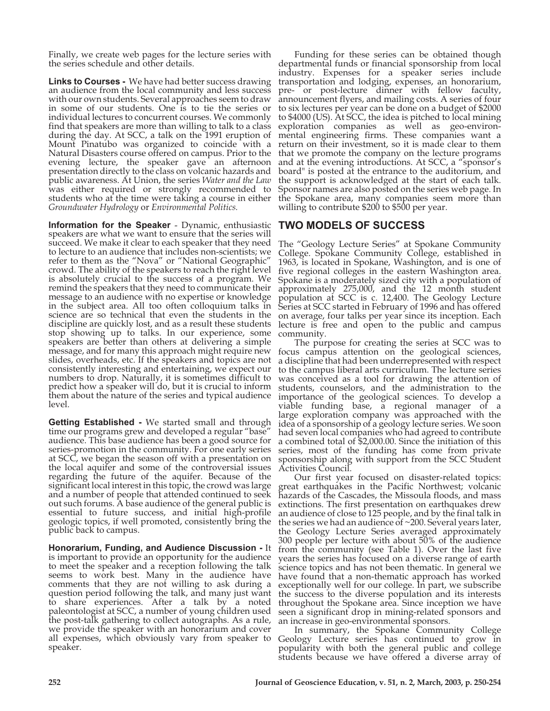Finally, we create web pages for the lecture series with the series schedule and other details.

**Links to Courses -** We have had better success drawing an audience from the local community and less success with our own students. Several approaches seem to draw in some of our students. One is to tie the series or individual lectures to concurrent courses. We commonly find that speakers are more than willing to talk to a class during the day. At SCC, a talk on the 1991 eruption of Mount Pinatubo was organized to coincide with a Natural Disasters course offered on campus. Prior to the evening lecture, the speaker gave an afternoon presentation directly to the class on volcanic hazards and public awareness. At Union, the series *Water and the Law* was either required or strongly recommended to students who at the time were taking a course in either *Groundwater Hydrology* or *Environmental Politics.*

**Information for the Speaker** - Dynamic, enthusiastic speakers are what we want to ensure that the series will succeed. We make it clear to each speaker that they need to lecture to an audience that includes non-scientists; we refer to them as the "Nova" or "National Geographic" crowd. The ability of the speakers to reach the right level is absolutely crucial to the success of a program. We remind the speakers that they need to communicate their message to an audience with no expertise or knowledge in the subject area. All too often colloquium talks in science are so technical that even the students in the discipline are quickly lost, and as a result these students stop showing up to talks. In our experience, some speakers are better than others at delivering a simple message, and for many this approach might require new slides, overheads, etc. If the speakers and topics are not consistently interesting and entertaining, we expect our numbers to drop. Naturally, it is sometimes difficult to predict how a speaker will do, but it is crucial to inform them about the nature of the series and typical audience level.

**Getting Established -** We started small and through time our programs grew and developed a regular "base" audience. This base audience has been a good source for series-promotion in the community. For one early series at SCC, we began the season off with a presentation on the local aquifer and some of the controversial issues regarding the future of the aquifer. Because of the significant local interest in this topic, the crowd was large and a number of people that attended continued to seek out such forums. A base audience of the general public is essential to future success, and initial high-profile geologic topics, if well promoted, consistently bring the public back to campus.

**Honorarium, Funding, and Audience Discussion -** It is important to provide an opportunity for the audience to meet the speaker and a reception following the talk seems to work best. Many in the audience have comments that they are not willing to ask during a question period following the talk, and many just want to share experiences. After a talk by a noted paleontologist at SCC, a number of young children used the post-talk gathering to collect autographs. As a rule, we provide the speaker with an honorarium and cover all expenses, which obviously vary from speaker to speaker.

Funding for these series can be obtained though departmental funds or financial sponsorship from local industry. Expenses for a speaker series include transportation and lodging, expenses, an honorarium, pre- or post-lecture dinner with fellow faculty, announcement flyers, and mailing costs. A series of four to six lectures per year can be done on a budget of \$2000 to \$4000 (US). At SCC, the idea is pitched to local mining exploration companies as well as geo-environmental engineering firms. These companies want a return on their investment, so it is made clear to them that we promote the company on the lecture programs and at the evening introductions. At SCC, a "sponsor's board" is posted at the entrance to the auditorium, and the support is acknowledged at the start of each talk. Sponsor names are also posted on the series web page. In the Spokane area, many companies seem more than willing to contribute \$200 to \$500 per year.

## **TWO MODELS OF SUCCESS**

The "Geology Lecture Series" at Spokane Community College. Spokane Community College, established in 1963, is located in Spokane, Washington, and is one of five regional colleges in the eastern Washington area. Spokane is a moderately sized city with a population of approximately 275,000, and the 12 month student population at SCC is c. 12,400. The Geology Lecture Series at SCC started in February of 1996 and has offered on average, four talks per year since its inception. Each lecture is free and open to the public and campus community.

The purpose for creating the series at SCC was to focus campus attention on the geological sciences, a discipline that had been underrepresented with respect to the campus liberal arts curriculum. The lecture series was conceived as a tool for drawing the attention of students, counselors, and the administration to the importance of the geological sciences. To develop a viable funding base, a regional manager of a large exploration company was approached with the idea of a sponsorship of a geology lecture series. We soon had seven local companies who had agreed to contribute a combined total of \$2,000.00. Since the initiation of this series, most of the funding has come from private sponsorship along with support from the SCC Student

Activities Council.<br>Our first year focused on disaster-related topics: great earthquakes in the Pacific Northwest; volcanic hazards of the Cascades, the Missoula floods, and mass extinctions. The first presentation on earthquakes drew an audience of close to 125 people, and by the final talk in the series we had an audience of ~200. Several years later, the Geology Lecture Series averaged approximately 300 people per lecture with about 50% of the audience from the community (see Table 1). Over the last five years the series has focused on a diverse range of earth science topics and has not been thematic. In general we have found that a non-thematic approach has worked exceptionally well for our college. In part, we subscribe the success to the diverse population and its interests throughout the Spokane area. Since inception we have seen a significant drop in mining-related sponsors and an increase in geo-environmental sponsors.

In summary, the Spokane Community College Geology Lecture series has continued to grow in popularity with both the general public and college students because we have offered a diverse array of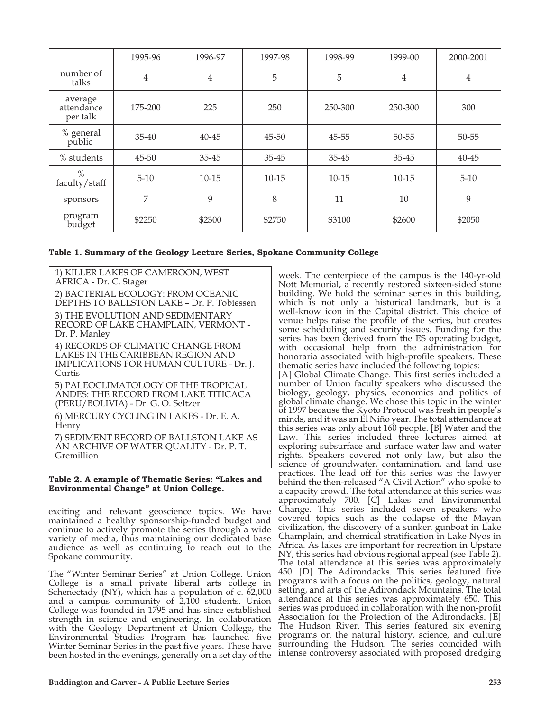|                                   | 1995-96        | 1996-97        | 1997-98   | 1998-99   | 1999-00   | 2000-2001      |
|-----------------------------------|----------------|----------------|-----------|-----------|-----------|----------------|
| number of<br>talks                | $\overline{4}$ | $\overline{4}$ | 5         | 5         | 4         | $\overline{4}$ |
| average<br>attendance<br>per talk | 175-200        | 225            | 250       | 250-300   | 250-300   | 300            |
| % general<br>public               | 35-40          | 40-45          | 45-50     | 45-55     | $50 - 55$ | 50-55          |
| % students                        | 45-50          | $35 - 45$      | 35-45     | $35 - 45$ | 35-45     | 40-45          |
| $\%$<br>faculty/staff             | $5 - 10$       | $10 - 15$      | $10 - 15$ | $10 - 15$ | $10 - 15$ | $5 - 10$       |
| sponsors                          | 7              | 9              | 8         | 11        | 10        | 9              |
| program<br>budget                 | \$2250         | \$2300         | \$2750    | \$3100    | \$2600    | \$2050         |

#### **Table 1. Summary of the Geology Lecture Series, Spokane Community College**

1) KILLER LAKES OF CAMEROON, WEST AFRICA - Dr. C. Stager 2) BACTERIAL ECOLOGY: FROM OCEANIC DEPTHS TO BALLSTON LAKE – Dr. P. Tobiessen 3) THE EVOLUTION AND SEDIMENTARY RECORD OF LAKE CHAMPLAIN, VERMONT - Dr. P. Manley 4) RECORDS OF CLIMATIC CHANGE FROM LAKES IN THE CARIBBEAN REGION AND IMPLICATIONS FOR HUMAN CULTURE - Dr. J. Curtis 5) PALEOCLIMATOLOGY OF THE TROPICAL ANDES: THE RECORD FROM LAKE TITICACA (PERU/BOLIVIA) - Dr. G. O. Seltzer 6) MERCURY CYCLING IN LAKES - Dr. E. A. Henry 7) SEDIMENT RECORD OF BALLSTON LAKE AS AN ARCHIVE OF WATER QUALITY - Dr. P. T. Gremillion

#### **Table 2. A example of Thematic Series: "Lakes and Environmental Change" at Union College.**

exciting and relevant geoscience topics. We have maintained a healthy sponsorship-funded budget and continue to actively promote the series through a wide variety of media, thus maintaining our dedicated base audience as well as continuing to reach out to the Spokane community.

The "Winter Seminar Series" at Union College. Union College is a small private liberal arts college in Schenectady (NY), which has a population of c. 62,000 and a campus community of 2,100 students. Union College was founded in 1795 and has since established strength in science and engineering. In collaboration with the Geology Department at Union College, the Environmental Studies Program has launched five Winter Seminar Series in the past five years. These have been hosted in the evenings, generally on a set day of the intense controversy associated with proposed dredging

week. The centerpiece of the campus is the 140-yr-old Nott Memorial, a recently restored sixteen-sided stone building. We hold the seminar series in this building, which is not only a historical landmark, but is a well-know icon in the Capital district. This choice of venue helps raise the profile of the series, but creates some scheduling and security issues. Funding for the series has been derived from the ES operating budget, with occasional help from the administration for honoraria associated with high-profile speakers. These thematic series have included the following topics:

[A] Global Climate Change. This first series included a number of Union faculty speakers who discussed the biology, geology, physics, economics and politics of global climate change. We chose this topic in the winter of 1997 because the Kyoto Protocol was fresh in people's minds, and it was an El Niño year. The total attendance at this series was only about 160 people. [B] Water and the Law. This series included three lectures aimed at exploring subsurface and surface water law and water rights. Speakers covered not only law, but also the science of groundwater, contamination, and land use practices. The lead off for this series was the lawyer behind the then-released "A Civil Action" who spoke to a capacity crowd. The total attendance at this series was approximately 700. [C] Lakes and Environmental Change. This series included seven speakers who covered topics such as the collapse of the Mayan civilization, the discovery of a sunken gunboat in Lake Champlain, and chemical stratification in Lake Nyos in Africa. As lakes are important for recreation in Upstate NY, this series had obvious regional appeal (see Table 2). The total attendance at this series was approximately 450. [D] The Adirondacks. This series featured five programs with a focus on the politics, geology, natural setting, and arts of the Adirondack Mountains. The total attendance at this series was approximately 650. This series was produced in collaboration with the non-profit Association for the Protection of the Adirondacks. [E] The Hudson River. This series featured six evening programs on the natural history, science, and culture surrounding the Hudson. The series coincided with